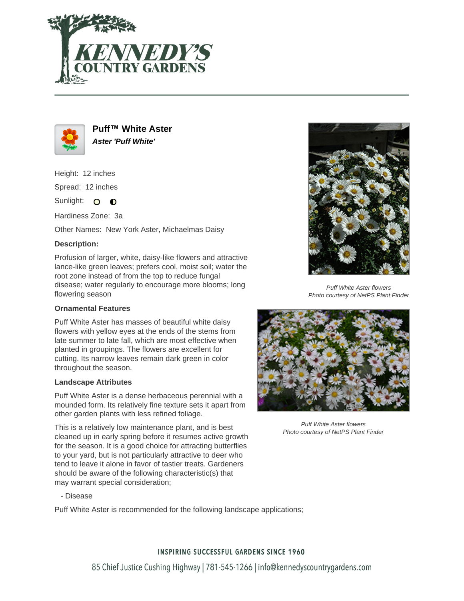



**Puff™ White Aster Aster 'Puff White'**

Height: 12 inches Spread: 12 inches

Sunlight: O **O** 

Hardiness Zone: 3a

Other Names: New York Aster, Michaelmas Daisy

# **Description:**

Profusion of larger, white, daisy-like flowers and attractive lance-like green leaves; prefers cool, moist soil; water the root zone instead of from the top to reduce fungal disease; water regularly to encourage more blooms; long flowering season

#### **Ornamental Features**

Puff White Aster has masses of beautiful white daisy flowers with yellow eyes at the ends of the stems from late summer to late fall, which are most effective when planted in groupings. The flowers are excellent for cutting. Its narrow leaves remain dark green in color throughout the season.

#### **Landscape Attributes**

Puff White Aster is a dense herbaceous perennial with a mounded form. Its relatively fine texture sets it apart from other garden plants with less refined foliage.

This is a relatively low maintenance plant, and is best cleaned up in early spring before it resumes active growth for the season. It is a good choice for attracting butterflies to your yard, but is not particularly attractive to deer who tend to leave it alone in favor of tastier treats. Gardeners should be aware of the following characteristic(s) that may warrant special consideration;

- Disease

Puff White Aster is recommended for the following landscape applications;



Puff White Aster flowers Photo courtesy of NetPS Plant Finder



Puff White Aster flowers Photo courtesy of NetPS Plant Finder

# **INSPIRING SUCCESSFUL GARDENS SINCE 1960**

85 Chief Justice Cushing Highway | 781-545-1266 | info@kennedyscountrygardens.com